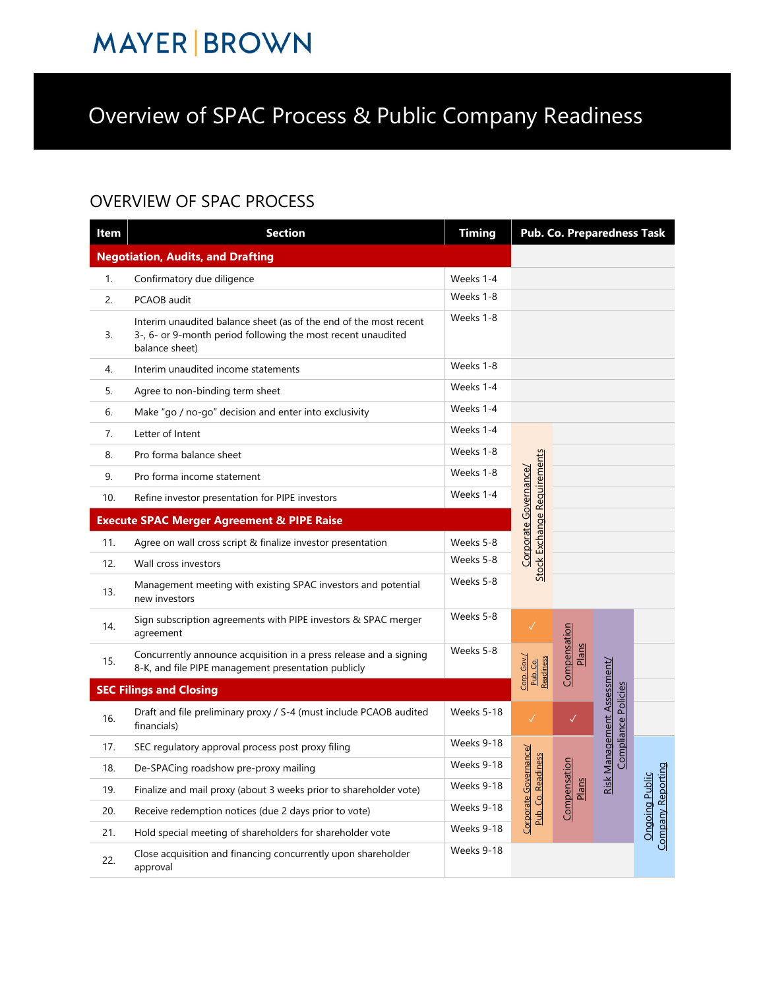## **MAYER BROWN**

## Overview of SPAC Process & Public Company Readiness

## OVERVIEW OF SPAC PROCESS

| Item                                     | <b>Section</b>                                                                                                                                      | <b>Timing</b> | <b>Pub. Co. Preparedness Task</b>                     |                              |                                                    |                                      |
|------------------------------------------|-----------------------------------------------------------------------------------------------------------------------------------------------------|---------------|-------------------------------------------------------|------------------------------|----------------------------------------------------|--------------------------------------|
| <b>Negotiation, Audits, and Drafting</b> |                                                                                                                                                     |               |                                                       |                              |                                                    |                                      |
| 1.                                       | Confirmatory due diligence                                                                                                                          | Weeks 1-4     |                                                       |                              |                                                    |                                      |
| 2.                                       | PCAOB audit                                                                                                                                         | Weeks 1-8     |                                                       |                              |                                                    |                                      |
| 3.                                       | Interim unaudited balance sheet (as of the end of the most recent<br>3-, 6- or 9-month period following the most recent unaudited<br>balance sheet) | Weeks 1-8     |                                                       |                              |                                                    |                                      |
| 4.                                       | Interim unaudited income statements                                                                                                                 | Weeks 1-8     |                                                       |                              |                                                    |                                      |
| 5.                                       | Agree to non-binding term sheet                                                                                                                     | Weeks 1-4     |                                                       |                              |                                                    |                                      |
| 6.                                       | Make "go / no-go" decision and enter into exclusivity                                                                                               | Weeks 1-4     |                                                       |                              |                                                    |                                      |
| 7.                                       | Letter of Intent                                                                                                                                    | Weeks 1-4     |                                                       |                              |                                                    |                                      |
| 8.                                       | Pro forma balance sheet                                                                                                                             | Weeks 1-8     |                                                       |                              |                                                    |                                      |
| 9.                                       | Pro forma income statement                                                                                                                          | Weeks 1-8     |                                                       |                              |                                                    |                                      |
| 10.                                      | Refine investor presentation for PIPE investors                                                                                                     | Weeks 1-4     | <b>Exchange Requirements</b><br>Corporate Governance/ |                              |                                                    |                                      |
|                                          | <b>Execute SPAC Merger Agreement &amp; PIPE Raise</b>                                                                                               |               |                                                       |                              |                                                    |                                      |
| 11.                                      | Agree on wall cross script & finalize investor presentation                                                                                         | Weeks 5-8     |                                                       |                              |                                                    |                                      |
| 12.                                      | Wall cross investors                                                                                                                                | Weeks 5-8     | <b>Stock</b>                                          |                              |                                                    |                                      |
| 13.                                      | Management meeting with existing SPAC investors and potential<br>new investors                                                                      | Weeks 5-8     |                                                       |                              |                                                    |                                      |
| 14.                                      | Sign subscription agreements with PIPE investors & SPAC merger<br>agreement                                                                         | Weeks 5-8     | $\checkmark$                                          |                              |                                                    |                                      |
| 15.                                      | Concurrently announce acquisition in a press release and a signing<br>8-K, and file PIPE management presentation publicly                           | Weeks 5-8     | Corp. Gov./<br>Readiness<br>Pub.Co.                   | Compensation<br><b>Plans</b> |                                                    |                                      |
|                                          | <b>SEC Filings and Closing</b>                                                                                                                      |               |                                                       |                              |                                                    |                                      |
| 16.                                      | Draft and file preliminary proxy / S-4 (must include PCAOB audited<br>financials)                                                                   | Weeks 5-18    | $\checkmark$                                          | $\checkmark$                 | Risk Management Assessment/<br>Compliance Policies |                                      |
| 17.                                      | SEC regulatory approval process post proxy filing                                                                                                   | Weeks 9-18    |                                                       |                              |                                                    |                                      |
| 18.                                      | De-SPACing roadshow pre-proxy mailing                                                                                                               | Weeks 9-18    | adiness                                               | ation                        |                                                    | .<br><sub>비</sub> 리                  |
| 19.                                      | Finalize and mail proxy (about 3 weeks prior to shareholder vote)                                                                                   | Weeks 9-18    |                                                       | <b>Plans</b>                 |                                                    |                                      |
| 20.                                      | Receive redemption notices (due 2 days prior to vote)                                                                                               | Weeks 9-18    | Corporate Governance/<br>Pub. Co. Re.                 | Compens                      |                                                    |                                      |
| 21.                                      | Hold special meeting of shareholders for shareholder vote                                                                                           | Weeks 9-18    |                                                       |                              |                                                    | <b>Ongoing Publ</b><br>Company Repor |
| 22.                                      | Close acquisition and financing concurrently upon shareholder<br>approval                                                                           | Weeks 9-18    |                                                       |                              |                                                    |                                      |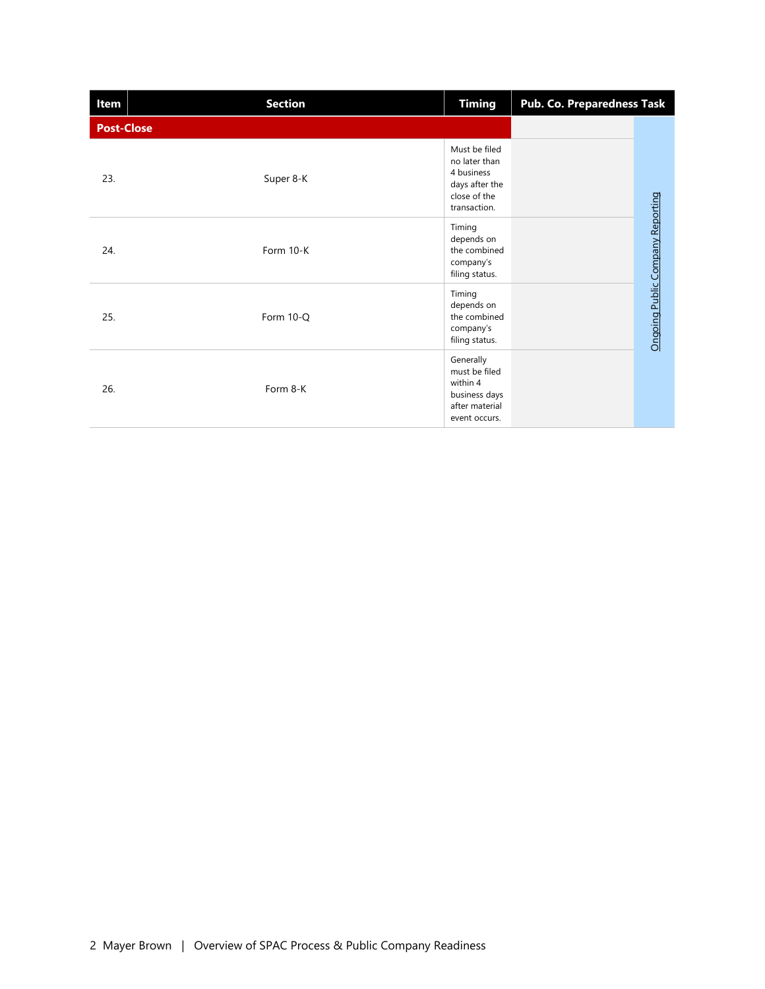| Item              | <b>Section</b> | <b>Timing</b>                                                                                  | <b>Pub. Co. Preparedness Task</b> |                                  |  |
|-------------------|----------------|------------------------------------------------------------------------------------------------|-----------------------------------|----------------------------------|--|
| <b>Post-Close</b> |                |                                                                                                |                                   |                                  |  |
| 23.               | Super 8-K      | Must be filed<br>no later than<br>4 business<br>days after the<br>close of the<br>transaction. |                                   |                                  |  |
| 24.               | Form 10-K      | Timing<br>depends on<br>the combined<br>company's<br>filing status.                            |                                   |                                  |  |
| 25.               | Form 10-Q      | Timing<br>depends on<br>the combined<br>company's<br>filing status.                            |                                   | Ongoing Public Company Reporting |  |
| 26.               | Form 8-K       | Generally<br>must be filed<br>within 4<br>business days<br>after material<br>event occurs.     |                                   |                                  |  |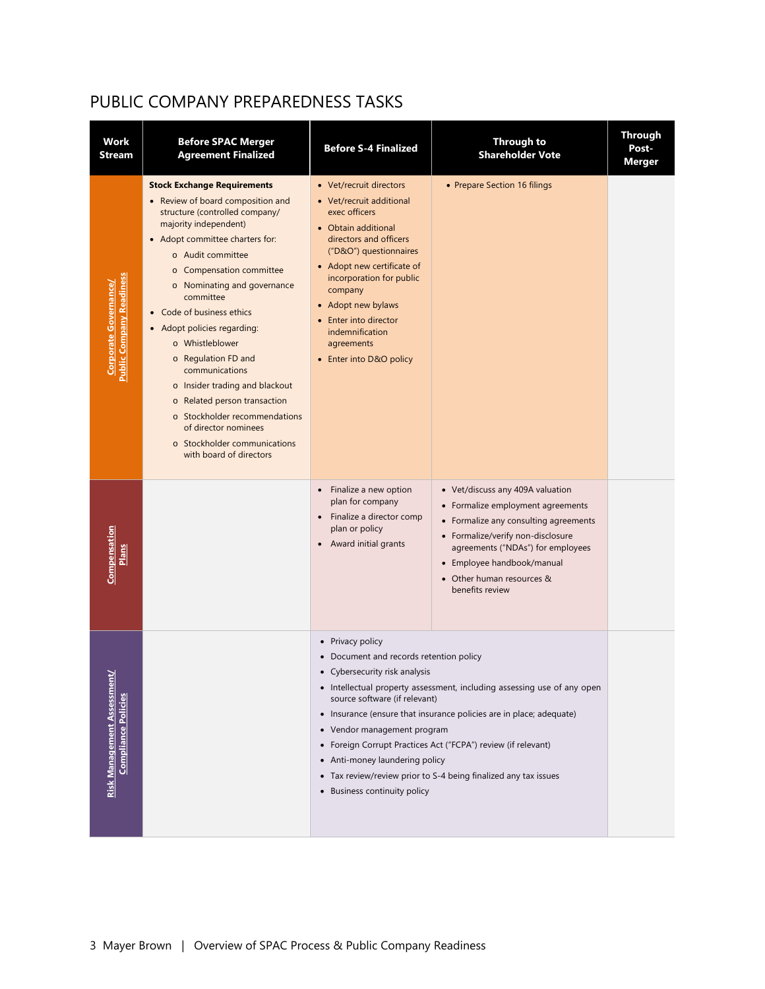## <span id="page-2-0"></span>PUBLIC COMPANY PREPAREDNESS TASKS

<span id="page-2-2"></span><span id="page-2-1"></span>

| Work<br><b>Stream</b>                                               | <b>Before SPAC Merger</b><br><b>Agreement Finalized</b>                                                                                                                                                                                                                                                                                                                                                                                                                                                                                                                          | <b>Before S-4 Finalized</b>                                                                                                                                                                                                                                                                                                                                                                                                                                                                                                                         | <b>Through to</b><br><b>Shareholder Vote</b>                                                                                                                                                                                       | <b>Through</b><br>Post-<br>Merger |
|---------------------------------------------------------------------|----------------------------------------------------------------------------------------------------------------------------------------------------------------------------------------------------------------------------------------------------------------------------------------------------------------------------------------------------------------------------------------------------------------------------------------------------------------------------------------------------------------------------------------------------------------------------------|-----------------------------------------------------------------------------------------------------------------------------------------------------------------------------------------------------------------------------------------------------------------------------------------------------------------------------------------------------------------------------------------------------------------------------------------------------------------------------------------------------------------------------------------------------|------------------------------------------------------------------------------------------------------------------------------------------------------------------------------------------------------------------------------------|-----------------------------------|
| <b>Public Company Readiness</b><br>Corporate Governance/            | <b>Stock Exchange Requirements</b><br>• Review of board composition and<br>structure (controlled company/<br>majority independent)<br>• Adopt committee charters for:<br>o Audit committee<br>o Compensation committee<br>o Nominating and governance<br>committee<br>• Code of business ethics<br>• Adopt policies regarding:<br>o Whistleblower<br>o Regulation FD and<br>communications<br>o Insider trading and blackout<br>o Related person transaction<br>o Stockholder recommendations<br>of director nominees<br>o Stockholder communications<br>with board of directors | • Vet/recruit directors<br>• Vet/recruit additional<br>exec officers<br>• Obtain additional<br>directors and officers<br>("D&O") questionnaires<br>• Adopt new certificate of<br>incorporation for public<br>company<br>• Adopt new bylaws<br>• Enter into director<br>indemnification<br>agreements<br>• Enter into D&O policy<br>• Finalize a new option                                                                                                                                                                                          | • Prepare Section 16 filings<br>• Vet/discuss any 409A valuation                                                                                                                                                                   |                                   |
| Compensation<br><b>Plans</b>                                        |                                                                                                                                                                                                                                                                                                                                                                                                                                                                                                                                                                                  | plan for company<br>• Finalize a director comp<br>plan or policy<br>Award initial grants<br>$\bullet$                                                                                                                                                                                                                                                                                                                                                                                                                                               | • Formalize employment agreements<br>• Formalize any consulting agreements<br>• Formalize/verify non-disclosure<br>agreements ("NDAs") for employees<br>• Employee handbook/manual<br>• Other human resources &<br>benefits review |                                   |
| ΑĪ<br><b>Risk Management Assessme</b><br><b>Compliance Policies</b> |                                                                                                                                                                                                                                                                                                                                                                                                                                                                                                                                                                                  | Privacy policy<br>$\bullet$<br>Document and records retention policy<br>Cybersecurity risk analysis<br>$\bullet$<br>• Intellectual property assessment, including assessing use of any open<br>source software (if relevant)<br>Insurance (ensure that insurance policies are in place; adequate)<br>$\bullet$<br>• Vendor management program<br>• Foreign Corrupt Practices Act ("FCPA") review (if relevant)<br>• Anti-money laundering policy<br>• Tax review/review prior to S-4 being finalized any tax issues<br>• Business continuity policy |                                                                                                                                                                                                                                    |                                   |